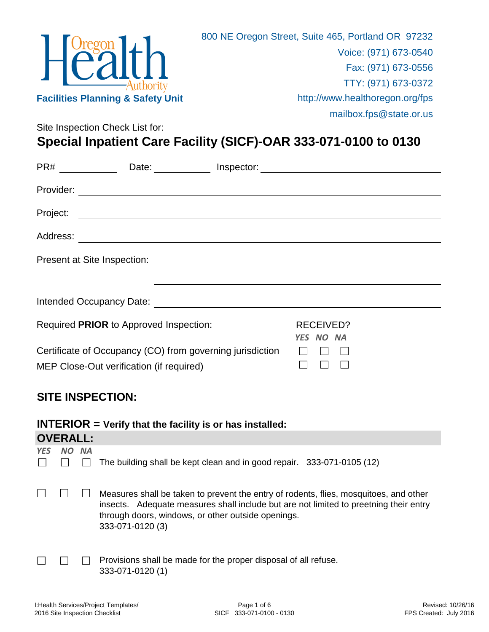

Site Inspection Check List for:

**Special Inpatient Care Facility (SICF)-OAR 333-071-0100 to 0130**

| PR#       | Date:                                                                                                                                                                                                                          | Inspector: | <u> 1980 - Andrea Andrew Maria (h. 1980).</u> |  |
|-----------|--------------------------------------------------------------------------------------------------------------------------------------------------------------------------------------------------------------------------------|------------|-----------------------------------------------|--|
| Provider: | <u> 1980 - Johann Barn, amerikan bestemannten bestemannten av den stadt som av den stadt som av den stadt som av</u>                                                                                                           |            |                                               |  |
| Project:  | <u> 1989 - Johann Stoff, deutscher Stoff, der Stoff, der Stoff, der Stoff, der Stoff, der Stoff, der Stoff, der S</u>                                                                                                          |            |                                               |  |
| Address:  | <u> 1989 - Johann Barn, mars eta bat erroman erroman erroman erroman erroman erroman erroman erroman erroman err</u>                                                                                                           |            |                                               |  |
|           | Present at Site Inspection:                                                                                                                                                                                                    |            |                                               |  |
|           |                                                                                                                                                                                                                                |            |                                               |  |
|           | Intended Occupancy Date: Notelland and the state of the state of the state of the state of the state of the state of the state of the state of the state of the state of the state of the state of the state of the state of t |            |                                               |  |
|           | Required PRIOR to Approved Inspection:                                                                                                                                                                                         |            | RECEIVED?<br>YES NO NA                        |  |
|           | Certificate of Occupancy (CO) from governing jurisdiction                                                                                                                                                                      |            |                                               |  |
|           | MEP Close-Out verification (if required)                                                                                                                                                                                       |            |                                               |  |
|           |                                                                                                                                                                                                                                |            |                                               |  |

### **SITE INSPECTION:**

|            | $INTERIOR = Verify that the facility is or has installed:$ |  |                                                                                                                                                                                                                                                          |  |  |  |
|------------|------------------------------------------------------------|--|----------------------------------------------------------------------------------------------------------------------------------------------------------------------------------------------------------------------------------------------------------|--|--|--|
|            | <b>OVERALL:</b>                                            |  |                                                                                                                                                                                                                                                          |  |  |  |
| <b>YES</b> | NO NA                                                      |  | The building shall be kept clean and in good repair. 333-071-0105 (12)                                                                                                                                                                                   |  |  |  |
|            |                                                            |  | Measures shall be taken to prevent the entry of rodents, flies, mosquitoes, and other<br>insects. Adequate measures shall include but are not limited to preetning their entry<br>through doors, windows, or other outside openings.<br>333-071-0120 (3) |  |  |  |
|            |                                                            |  | Provisions shall be made for the proper disposal of all refuse.<br>333-071-0120 (1)                                                                                                                                                                      |  |  |  |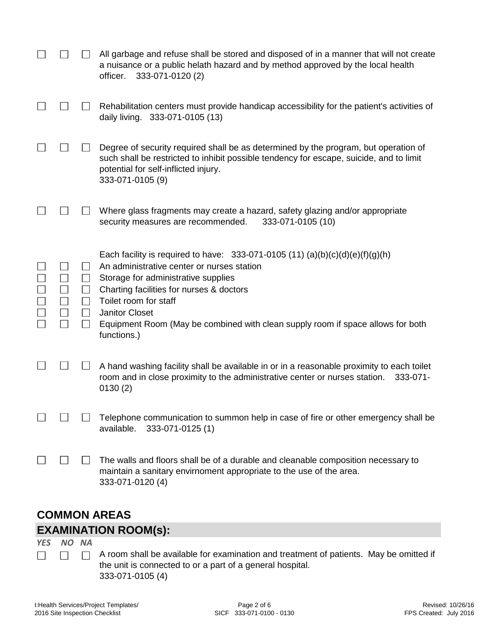|  |                        | All garbage and refuse shall be stored and disposed of in a manner that will not create<br>a nuisance or a public helath hazard and by method approved by the local health<br>333-071-0120 (2)<br>officer.                                                                                                                                                         |
|--|------------------------|--------------------------------------------------------------------------------------------------------------------------------------------------------------------------------------------------------------------------------------------------------------------------------------------------------------------------------------------------------------------|
|  |                        | Rehabilitation centers must provide handicap accessibility for the patient's activities of<br>daily living. 333-071-0105 (13)                                                                                                                                                                                                                                      |
|  |                        | Degree of security required shall be as determined by the program, but operation of<br>such shall be restricted to inhibit possible tendency for escape, suicide, and to limit<br>potential for self-inflicted injury.<br>333-071-0105 (9)                                                                                                                         |
|  |                        | Where glass fragments may create a hazard, safety glazing and/or appropriate<br>333-071-0105 (10)<br>security measures are recommended.                                                                                                                                                                                                                            |
|  | $\Box$<br>$\mathsf{L}$ | Each facility is required to have: 333-071-0105 (11) (a)(b)(c)(d)(e)(f)(g)(h)<br>An administrative center or nurses station<br>Storage for administrative supplies<br>Charting facilities for nurses & doctors<br>Toilet room for staff<br><b>Janitor Closet</b><br>Equipment Room (May be combined with clean supply room if space allows for both<br>functions.) |
|  |                        | A hand washing facility shall be available in or in a reasonable proximity to each toilet<br>room and in close proximity to the administrative center or nurses station.<br>333-071-<br>0130(2)                                                                                                                                                                    |
|  |                        | Telephone communication to summon help in case of fire or other emergency shall be<br>333-071-0125 (1)<br>available.                                                                                                                                                                                                                                               |
|  |                        | The walls and floors shall be of a durable and cleanable composition necessary to<br>maintain a sanitary envirnoment appropriate to the use of the area.<br>333-071-0120 (4)                                                                                                                                                                                       |

# **COMMON AREAS EXAMINATION ROOM(s):**

*YES NO NA*

 $\Box$  $\Box$  $\Box$  A room shall be available for examination and treatment of patients. May be omitted if the unit is connected to or a part of a general hospital. 333-071-0105 (4)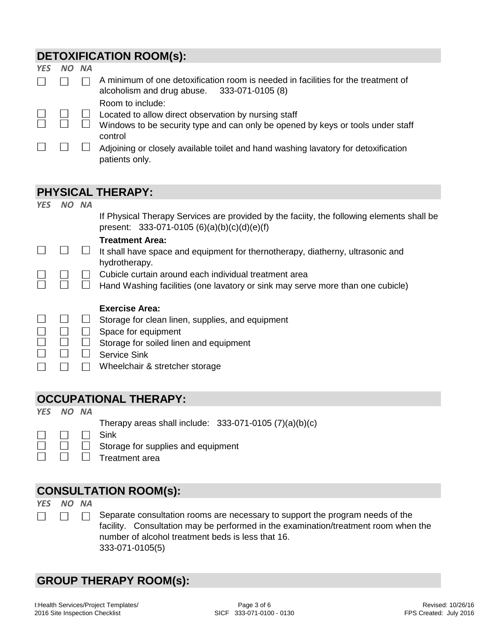### **DETOXIFICATION ROOM(s):**

| <b>YES</b> | <b>NA</b> |                                                                                                                                                      |
|------------|-----------|------------------------------------------------------------------------------------------------------------------------------------------------------|
|            |           | A minimum of one detoxification room is needed in facilities for the treatment of<br>alcoholism and drug abuse. 333-071-0105 (8)<br>Room to include: |
|            |           | Located to allow direct observation by nursing staff<br>Windows to be security type and can only be opened by keys or tools under staff<br>control   |
|            |           | Adjoining or closely available toilet and hand washing lavatory for detoxification<br>patients only.                                                 |

# **PHYSICAL THERAPY:**

| <b>YES</b> | NΩ | <b>NA</b> |                                                                                                                                           |
|------------|----|-----------|-------------------------------------------------------------------------------------------------------------------------------------------|
|            |    |           | If Physical Therapy Services are provided by the faciity, the following elements shall be<br>present: $333-071-0105(6)(a)(b)(c)(d)(e)(f)$ |
|            |    |           | <b>Treatment Area:</b>                                                                                                                    |
|            |    |           | It shall have space and equipment for thernotherapy, diatherny, ultrasonic and<br>hydrotherapy.                                           |
|            |    |           | Cubicle curtain around each individual treatment area                                                                                     |
|            |    |           | Hand Washing facilities (one lavatory or sink may serve more than one cubicle)                                                            |
|            |    |           | <b>Exercise Area:</b>                                                                                                                     |
|            |    |           |                                                                                                                                           |
|            |    |           | Storage for clean linen, supplies, and equipment                                                                                          |
|            |    |           | Space for equipment                                                                                                                       |
|            |    |           | Storage for soiled linen and equipment                                                                                                    |
|            |    |           | <b>Service Sink</b>                                                                                                                       |

### **OCCUPATIONAL THERAPY:**

*YES NO NA*

 $\Box$ 

 $\Box$ 

 $\Box$ 

 $\Box$ 

- Therapy areas shall include: 333-071-0105 (7)(a)(b)(c)
- Sink  $\Box$ 
	- $\Box$ Storage for supplies and equipment
	- $\Box$ Treatment area

# **CONSULTATION ROOM(s):**

*YES NO NA*  $\Box$ 

Separate consultation rooms are necessary to support the program needs of the  $\Box$ facility. Consultation may be performed in the examination/treatment room when the number of alcohol treatment beds is less that 16. 333-071-0105(5)

### **GROUP THERAPY ROOM(s):**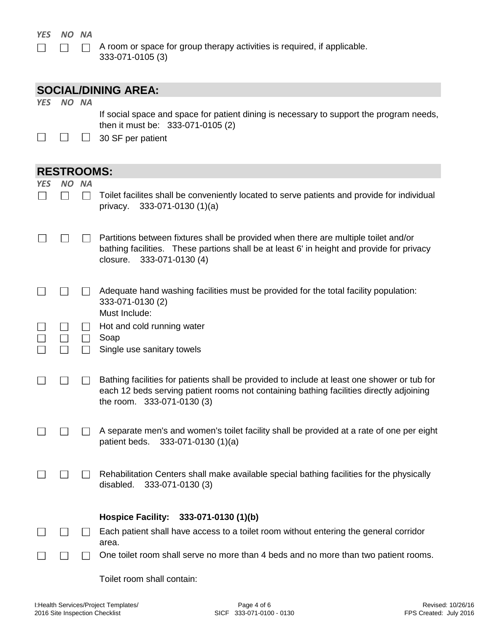#### *YES NO NA*  $\Box$

 $\Box$ 

A room or space for group therapy activities is required, if applicable.  $\Box$ 333-071-0105 (3)

|            |                   |              | <b>SOCIAL/DINING AREA:</b>                                                                                                                                                                                           |
|------------|-------------------|--------------|----------------------------------------------------------------------------------------------------------------------------------------------------------------------------------------------------------------------|
| <b>YES</b> | NO NA             |              | If social space and space for patient dining is necessary to support the program needs,<br>then it must be: 333-071-0105 (2)                                                                                         |
|            |                   |              | 30 SF per patient                                                                                                                                                                                                    |
|            | <b>RESTROOMS:</b> |              |                                                                                                                                                                                                                      |
| YES        | NO NA             | $\mathbf{I}$ | Toilet facilites shall be conveniently located to serve patients and provide for individual<br>$333-071-0130(1)(a)$<br>privacy.                                                                                      |
|            |                   |              | Partitions between fixtures shall be provided when there are multiple toilet and/or<br>bathing facilities. These partions shall be at least 6' in height and provide for privacy<br>closure.<br>333-071-0130 (4)     |
|            |                   |              | Adequate hand washing facilities must be provided for the total facility population:<br>333-071-0130 (2)<br>Must Include:                                                                                            |
|            |                   |              | Hot and cold running water                                                                                                                                                                                           |
|            |                   |              | Soap<br>Single use sanitary towels                                                                                                                                                                                   |
|            |                   |              | Bathing facilities for patients shall be provided to include at least one shower or tub for<br>each 12 beds serving patient rooms not containing bathing facilities directly adjoining<br>the room. 333-071-0130 (3) |
|            |                   |              | A separate men's and women's toilet facility shall be provided at a rate of one per eight<br>patient beds. 333-071-0130 (1)(a)                                                                                       |
|            |                   |              | Rehabilitation Centers shall make available special bathing facilities for the physically<br>disabled.<br>333-071-0130 (3)                                                                                           |
|            |                   |              | <b>Hospice Facility:</b><br>333-071-0130 (1)(b)                                                                                                                                                                      |
|            |                   |              | Each patient shall have access to a toilet room without entering the general corridor<br>area.                                                                                                                       |
|            |                   |              | One toilet room shall serve no more than 4 beds and no more than two patient rooms.                                                                                                                                  |

Toilet room shall contain: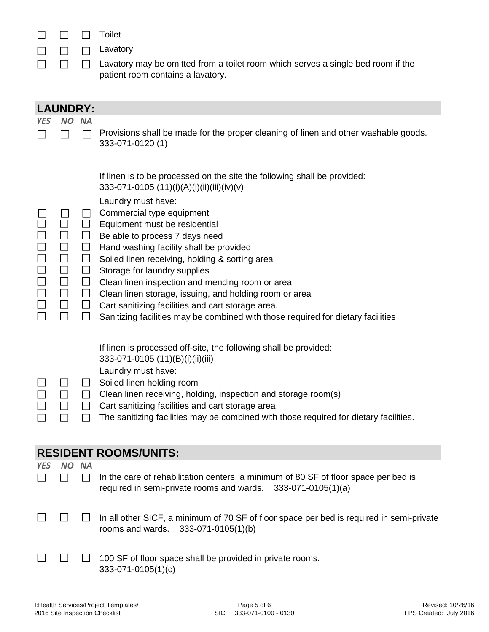|  | Toilet          |
|--|-----------------|
|  | $\Box$ Lavatory |
|  | Lavatory        |

ory may be omitted from a toilet room which serves a single bed room if the patient room contains a lavatory.

|                            | <b>LAUNDRY:</b>                                                                                 |                                                                                                                                  |                                                                                                                                                                                                                                                                                                                                                                                                                                                                                                                                                                                                                                 |  |  |
|----------------------------|-------------------------------------------------------------------------------------------------|----------------------------------------------------------------------------------------------------------------------------------|---------------------------------------------------------------------------------------------------------------------------------------------------------------------------------------------------------------------------------------------------------------------------------------------------------------------------------------------------------------------------------------------------------------------------------------------------------------------------------------------------------------------------------------------------------------------------------------------------------------------------------|--|--|
| <b>YES</b>                 | NO I                                                                                            | <b>NA</b>                                                                                                                        |                                                                                                                                                                                                                                                                                                                                                                                                                                                                                                                                                                                                                                 |  |  |
|                            |                                                                                                 |                                                                                                                                  | Provisions shall be made for the proper cleaning of linen and other washable goods.<br>333-071-0120 (1)                                                                                                                                                                                                                                                                                                                                                                                                                                                                                                                         |  |  |
| $\Box$<br>$\Box$<br>$\Box$ | $\Box$<br>$\Box$<br>$\Box$<br>$\Box$<br>$\Box$<br>$\overline{\phantom{a}}$<br>$\Box$<br>$\perp$ | $\Box$<br>$\Box$<br>$\Box$<br>$\mathcal{L}_{\mathcal{A}}$<br>$\Box$<br>$\Box$<br>$\mathcal{L}_{\mathcal{A}}$<br>$\Box$<br>$\Box$ | If linen is to be processed on the site the following shall be provided:<br>333-071-0105 (11)(i)(A)(i)(ii)(iii)(iv)(v)<br>Laundry must have:<br>Commercial type equipment<br>Equipment must be residential<br>Be able to process 7 days need<br>Hand washing facility shall be provided<br>Soiled linen receiving, holding & sorting area<br>Storage for laundry supplies<br>Clean linen inspection and mending room or area<br>Clean linen storage, issuing, and holding room or area<br>Cart sanitizing facilities and cart storage area.<br>Sanitizing facilities may be combined with those required for dietary facilities |  |  |
|                            | $\Box$<br>$\Box$<br>$\Box$<br>$\mathcal{L}$                                                     | $\Box$<br>$\Box$<br>$\mathcal{L}^{\mathcal{A}}$                                                                                  | If linen is processed off-site, the following shall be provided:<br>333-071-0105 (11)(B)(i)(ii)(iii)<br>Laundry must have:<br>Soiled linen holding room<br>Clean linen receiving, holding, inspection and storage room(s)<br>Cart sanitizing facilities and cart storage area<br>The sanitizing facilities may be combined with those required for dietary facilities.                                                                                                                                                                                                                                                          |  |  |
|                            |                                                                                                 |                                                                                                                                  | <b>RESIDENT ROOMS/UNITS:</b>                                                                                                                                                                                                                                                                                                                                                                                                                                                                                                                                                                                                    |  |  |
| <b>YES</b>                 | NO.                                                                                             | <b>NA</b>                                                                                                                        |                                                                                                                                                                                                                                                                                                                                                                                                                                                                                                                                                                                                                                 |  |  |
|                            |                                                                                                 |                                                                                                                                  | In the care of rehabilitation centers, a minimum of 80 SF of floor space per bed is<br>required in semi-private rooms and wards. 333-071-0105(1)(a)                                                                                                                                                                                                                                                                                                                                                                                                                                                                             |  |  |
|                            |                                                                                                 |                                                                                                                                  | In all other SICF, a minimum of 70 SF of floor space per bed is required in semi-private<br>333-071-0105(1)(b)<br>rooms and wards.                                                                                                                                                                                                                                                                                                                                                                                                                                                                                              |  |  |
|                            |                                                                                                 |                                                                                                                                  | 100 SF of floor space shall be provided in private rooms.<br>333-071-0105(1)(c)                                                                                                                                                                                                                                                                                                                                                                                                                                                                                                                                                 |  |  |